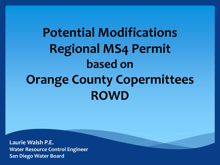# **Potential Modifications Regional MS4 Permit based on Orange County Copermittees ROWD**

**Laurie Walsh P.E. Water Resource Control Engineer San Diego Water Board**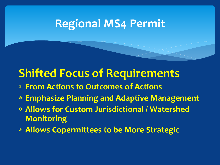### **Regional MS4 Permit**

# **Shifted Focus of Requirements**

- **From Actions to Outcomes of Actions**
- **Emphasize Planning and Adaptive Management**
- **Allows for Custom Jurisdictional / Watershed Monitoring**
- **Allows Copermittees to be More Strategic**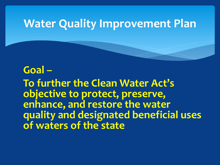### **Water Quality Improvement Plan**

#### **Goal –**

**To further the Clean Water Act's objective to protect, preserve, enhance, and restore the water quality and designated beneficial uses of waters of the state**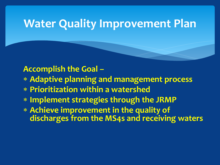### **Water Quality Improvement Plan**

**Accomplish the Goal –** 

- **Adaptive planning and management process**
- **Prioritization within a watershed**
- **Implement strategies through the JRMP**
- **Achieve improvement in the quality of discharges from the MS4s and receiving waters**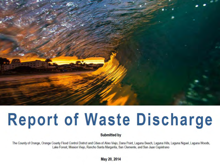

# **Report of Waste Discharge**

**Submitted by** 

The County of Orange, Orange County Flood Control District and Cities of Aliso Viejo, Dana Point, Laguna Beach, Laguna Hills, Laguna Niguel, Laguna Woods, Lake Forest, Mission Viejo, Rancho Santa Margarita, San Clemente, and San Juan Capistrano

May 20, 2014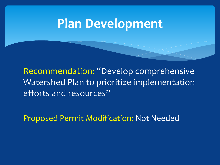# **Plan Development**

Recommendation: "Develop comprehensive Watershed Plan to prioritize implementation efforts and resources"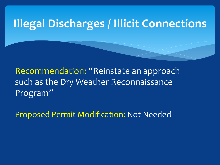# **Illegal Discharges / Illicit Connections**

Recommendation: "Reinstate an approach such as the Dry Weather Reconnaissance Program"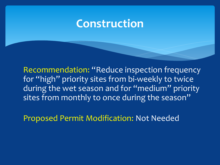#### **Construction**

Recommendation: "Reduce inspection frequency for "high" priority sites from bi-weekly to twice during the wet season and for "medium" priority sites from monthly to once during the season"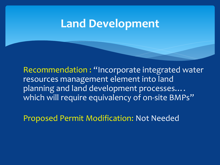Recommendation : "Incorporate integrated water resources management element into land planning and land development processes.... which will require equivalency of on-site BMPs"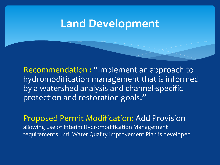Recommendation : "Implement an approach to hydromodification management that is informed by a watershed analysis and channel-specific protection and restoration goals."

Proposed Permit Modification: Add Provision allowing use of Interim Hydromodification Management requirements until Water Quality Improvement Plan is developed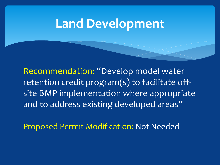Recommendation: "Develop model water retention credit program(s) to facilitate offsite BMP implementation where appropriate and to address existing developed areas"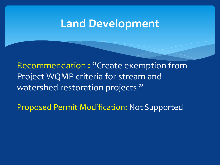Recommendation : "Create exemption from Project WQMP criteria for stream and watershed restoration projects"

Proposed Permit Modification: Not Supported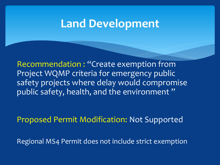Recommendation : "Create exemption from Project WQMP criteria for emergency public safety projects where delay would compromise public safety, health, and the environment"

Proposed Permit Modification: Not Supported

Regional MS4 Permit does not include strict exemption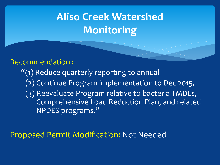# **Aliso Creek Watershed Monitoring**

#### Recommendation :

"(1) Reduce quarterly reporting to annual (2) Continue Program implementation to Dec 2015, (3) Reevaluate Program relative to bacteria TMDLs, Comprehensive Load Reduction Plan, and related NPDES programs."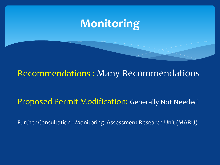## **Monitoring**

#### Recommendations : Many Recommendations

#### Proposed Permit Modification: Generally Not Needed

Further Consultation - Monitoring Assessment Research Unit (MARU)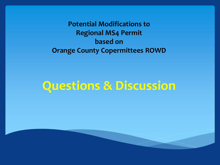**Potential Modifications to Regional MS4 Permit based on Orange County Copermittees ROWD** 

# **Questions & Discussion**